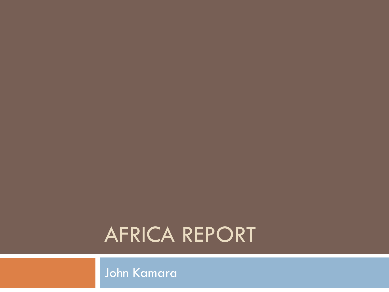### AFRICA REPORT

John Kamara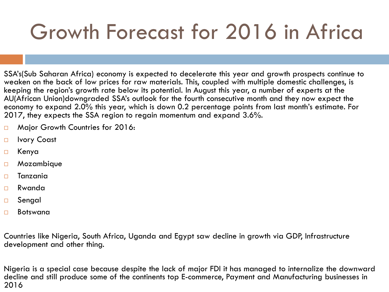### Growth Forecast for 2016 in Africa

SSA's(Sub Saharan Africa) economy is expected to decelerate this year and growth prospects continue to weaken on the back of low prices for raw materials. This, coupled with multiple domestic challenges, is keeping the region's growth rate below its potential. In August this year, a number of experts at the AU(African Union)downgraded SSA's outlook for the fourth consecutive month and they now expect the economy to expand 2.0% this year, which is down 0.2 percentage points from last month's estimate. For 2017, they expects the SSA region to regain momentum and expand 3.6%.

- □ Major Growth Countries for 2016:
- □ Ivory Coast
- Kenya
- Mozambique
- $\square$  Tanzania
- Rwanda
- Sengal
- Botswana

Countries like Nigeria, South Africa, Uganda and Egypt saw decline in growth via GDP, Infrastructure development and other thing.

Nigeria is a special case because despite the lack of major FDI it has managed to internalize the downward decline and still produce some of the continents top E-commerce, Payment and Manufacturing businesses in 2016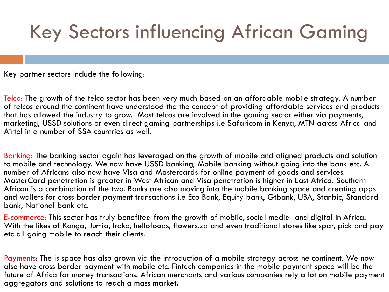### Key Sectors influencing African Gaming

Key partner sectors include the following:

Telco: The growth of the telco sector has been very much based on an affordable mobile strategy. A number of telcos around the continent have understood the the concept of providing affordable services and products that has allowed the industry to grow. Most telcos are involved in the gaming sector either via payments, marketing, USSD solutions or even direct gaming partnerships i.e Safaricom in Kenya, MTN across Africa and Airtel in a number of SSA countries as well.

Banking: The banking sector again has leveraged on the growth of mobile and aligned products and solution to mobile and technology. We now have USSD banking, Mobile banking without going into the bank etc. A number of Africans also now have Visa and Mastercards for online payment of goods and services. MasterCard penetration is greater in West African and Visa penetration is higher in East Africa. Southern African is a combination of the two. Banks are also moving into the mobile banking space and creating apps and wallets for cross border payment transactions i.e Eco Bank, Equity bank, Gtbank, UBA, Stanbic, Standard bank, National bank etc.

E-commerce: This sector has truly benefited from the growth of mobile, social media and digital in Africa. With the likes of Konga, Jumia, Iroko, hellofoods, flowers.za and even traditional stores like spar, pick and pay etc all going mobile to reach their clients.

Payments: The is space has also grown via the introduction of a mobile strategy across he continent. We now also have cross border payment with mobile etc. Fintech companies in the mobile payment space will be the future of Africa for money transactions. African merchants and various companies rely a lot on mobile payment aggregators and solutions to reach a mass market.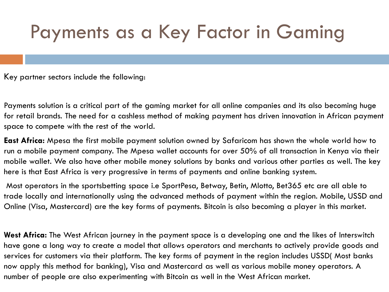### Payments as a Key Factor in Gaming

Key partner sectors include the following:

Payments solution is a critical part of the gaming market for all online companies and its also becoming huge for retail brands. The need for a cashless method of making payment has driven innovation in African payment space to compete with the rest of the world.

**East Africa:** Mpesa the first mobile payment solution owned by Safaricom has shown the whole world how to run a mobile payment company. The Mpesa wallet accounts for over 50% of all transaction in Kenya via their mobile wallet. We also have other mobile money solutions by banks and various other parties as well. The key here is that East Africa is very progressive in terms of payments and online banking system.

Most operators in the sportsbetting space i.e SportPesa, Betway, Betin, Mlotto, Bet365 etc are all able to trade locally and internationally using the advanced methods of payment within the region. Mobile, USSD and Online (Visa, Mastercard) are the key forms of payments. Bitcoin is also becoming a player in this market.

**West Africa:** The West African journey in the payment space is a developing one and the likes of Interswitch have gone a long way to create a model that allows operators and merchants to actively provide goods and services for customers via their platform. The key forms of payment in the region includes USSD( Most banks now apply this method for banking), Visa and Mastercard as well as various mobile money operators. A number of people are also experimenting with Bitcoin as well in the West African market.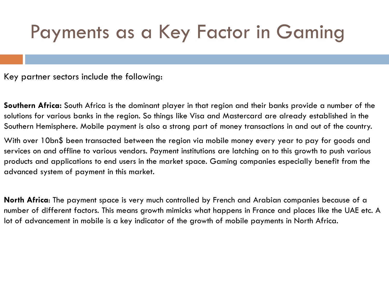### Payments as a Key Factor in Gaming

Key partner sectors include the following:

**Southern Africa:** South Africa is the dominant player in that region and their banks provide a number of the solutions for various banks in the region. So things like Visa and Mastercard are already established in the Southern Hemisphere. Mobile payment is also a strong part of money transactions in and out of the country.

With over 10bn\$ been transacted between the region via mobile money every year to pay for goods and services on and offline to various vendors. Payment institutions are latching on to this growth to push various products and applications to end users in the market space. Gaming companies especially benefit from the advanced system of payment in this market.

**North Africa**: The payment space is very much controlled by French and Arabian companies because of a number of different factors. This means growth mimicks what happens in France and places like the UAE etc. A lot of advancement in mobile is a key indicator of the growth of mobile payments in North Africa.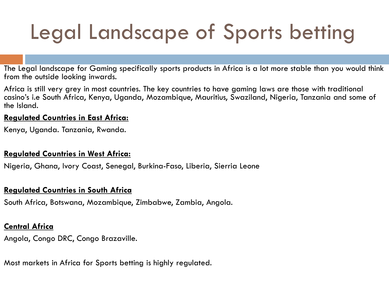### Legal Landscape of Sports betting

The Legal landscape for Gaming specifically sports products in Africa is a lot more stable than you would think from the outside looking inwards.

Africa is still very grey in most countries. The key countries to have gaming laws are those with traditional casino's i.e South Africa, Kenya, Uganda, Mozambique, Mauritius, Swaziland, Nigeria, Tanzania and some of the Island.

#### **Regulated Countries in East Africa:**

Kenya, Uganda. Tanzania, Rwanda.

#### **Regulated Countries in West Africa:**

Nigeria, Ghana, Ivory Coast, Senegal, Burkina-Faso, Liberia, Sierria Leone

#### **Regulated Countries in South Africa**

South Africa, Botswana, Mozambique, Zimbabwe, Zambia, Angola.

#### **Central Africa**

Angola, Congo DRC, Congo Brazaville.

Most markets in Africa for Sports betting is highly regulated.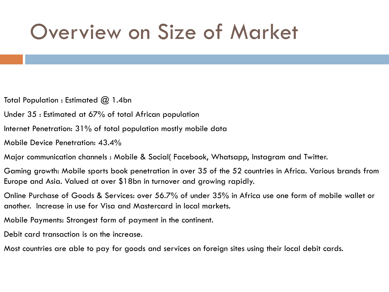### Overview on Size of Market

Total Population : Estimated @ 1.4bn

Under 35 : Estimated at 67% of total African population

Internet Penetration: 31% of total population mostly mobile data

Mobile Device Penetration: 43.4%

Major communication channels : Mobile & Social( Facebook, Whatsapp, Instagram and Twitter.

Gaming growth: Mobile sports book penetration in over 35 of the 52 countries in Africa. Various brands from Europe and Asia. Valued at over \$18bn in turnover and growing rapidly.

Online Purchase of Goods & Services: over 56.7% of under 35% in Africa use one form of mobile wallet or another. Increase in use for Visa and Mastercard in local markets.

Mobile Payments: Strongest form of payment in the continent.

Debit card transaction is on the increase.

Most countries are able to pay for goods and services on foreign sites using their local debit cards.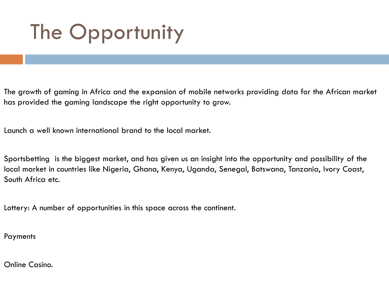### The Opportunity

The growth of gaming in Africa and the expansion of mobile networks providing data for the African market has provided the gaming landscape the right opportunity to grow.

Launch a well known international brand to the local market.

Sportsbetting is the biggest market, and has given us an insight into the opportunity and possibility of the local market in countries like Nigeria, Ghana, Kenya, Uganda, Senegal, Botswana, Tanzania, Ivory Coast, South Africa etc.

Lottery: A number of opportunities in this space across the continent.

Payments

Online Casino.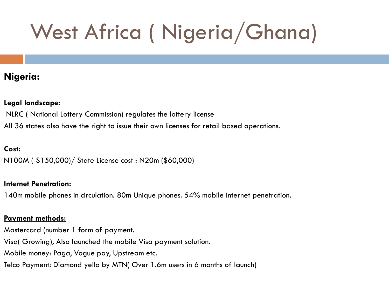#### **Nigeria:**

#### **Legal landscape:**

NLRC ( National Lottery Commission) regulates the lottery license

All 36 states also have the right to issue their own licenses for retail based operations.

#### **Cost:**

N100M ( \$150,000)/ State License cost : N20m (\$60,000)

#### **Internet Penetration:**

140m mobile phones in circulation. 80m Unique phones. 54% mobile internet penetration.

#### **Payment methods:**

Mastercard (number 1 form of payment.

Visa( Growing), Also launched the mobile Visa payment solution.

Mobile money: Paga, Vogue pay, Upstream etc.

Telco Payment: Diamond yello by MTN( Over 1.6m users in 6 months of launch)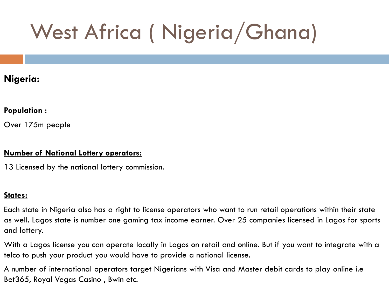#### **Nigeria:**

#### **Population :**

Over 175m people

#### **Number of National Lottery operators:**

13 Licensed by the national lottery commission.

#### **States:**

Each state in Nigeria also has a right to license operators who want to run retail operations within their state as well. Lagos state is number one gaming tax income earner. Over 25 companies licensed in Lagos for sports and lottery.

With a Lagos license you can operate locally in Logos on retail and online. But if you want to integrate with a telco to push your product you would have to provide a national license.

A number of international operators target Nigerians with Visa and Master debit cards to play online i.e Bet365, Royal Vegas Casino , Bwin etc.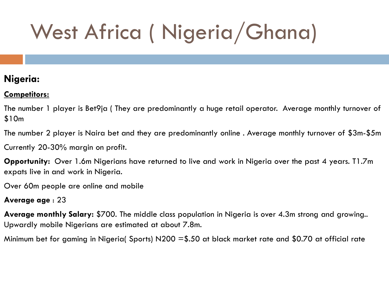#### **Nigeria:**

#### **Competitors:**

The number 1 player is Bet9ja ( They are predominantly a huge retail operator. Average monthly turnover of \$10m

The number 2 player is Naira bet and they are predominantly online . Average monthly turnover of \$3m-\$5m Currently 20-30% margin on profit.

**Opportunity:** Over 1.6m Nigerians have returned to live and work in Nigeria over the past 4 years. T1.7m expats live in and work in Nigeria.

Over 60m people are online and mobile

#### **Average age** : 23

**Average monthly Salary:** \$700. The middle class population in Nigeria is over 4.3m strong and growing.. Upwardly mobile Nigerians are estimated at about 7.8m.

Minimum bet for gaming in Nigeria( Sports) N200 =\$.50 at black market rate and \$0.70 at official rate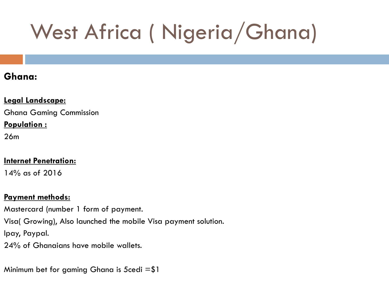#### **Ghana:**

#### **Legal Landscape:**

Ghana Gaming Commission

#### **Population :**

26m

#### **Internet Penetration:**

14% as of 2016

#### **Payment methods:**

Mastercard (number 1 form of payment. Visa( Growing), Also launched the mobile Visa payment solution. Ipay, Paypal. 24% of Ghanaians have mobile wallets.

Minimum bet for gaming Ghana is 5 cedi  $= $1$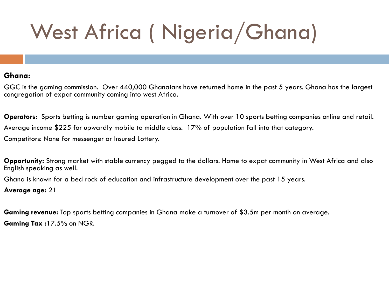#### **Ghana:**

GGC is the gaming commission. Over 440,000 Ghanaians have returned home in the past 5 years. Ghana has the largest congregation of expat community coming into west Africa.

**Operators:** Sports betting is number gaming operation in Ghana. With over 10 sports betting companies online and retail. Average income \$225 for upwardly mobile to middle class. 17% of population fall into that category. Competitors: None for messenger or Insured Lottery.

**Opportunity:** Strong market with stable currency pegged to the dollars. Home to expat community in West Africa and also English speaking as well.

Ghana is known for a bed rock of education and infrastructure development over the past 15 years.

**Average age:** 21

**Gaming revenue:** Top sports betting companies in Ghana make a turnover of \$3.5m per month on average. **Gaming Tax :**17.5% on NGR.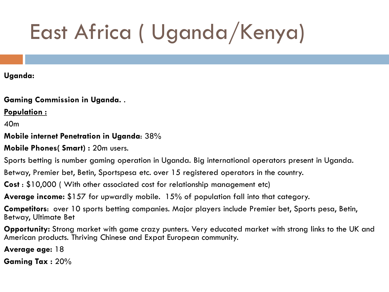# East Africa ( Uganda/Kenya)

#### **Uganda:**

**Gaming Commission in Uganda.** .

**Population :** 

40m

#### **Mobile internet Penetration in Uganda**: 38%

**Mobile Phones( Smart) :** 20m users.

Sports betting is number gaming operation in Uganda. Big international operators present in Uganda.

Betway, Premier bet, Betin, Sportspesa etc. over 15 registered operators in the country.

**Cost** : \$10,000 ( With other associated cost for relationship management etc)

**Average income:** \$157 for upwardly mobile. 15% of population fall into that category.

**Competitors**: over 10 sports betting companies. Major players include Premier bet, Sports pesa, Betin, Betway, Ultimate Bet

**Opportunity:** Strong market with game crazy punters. Very educated market with strong links to the UK and American products. Thriving Chinese and Expat European community.

**Average age:** 18

**Gaming Tax :** 20%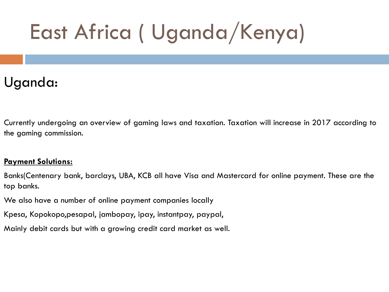## East Africa ( Uganda/Kenya)

### Uganda:

Currently undergoing an overview of gaming laws and taxation. Taxation will increase in 2017 according to the gaming commission.

#### **Payment Solutions:**

Banks(Centenary bank, barclays, UBA, KCB all have Visa and Mastercard for online payment. These are the top banks.

We also have a number of online payment companies locally

Kpesa, Kopokopo,pesapal, jambopay, ipay, instantpay, paypal,

Mainly debit cards but with a growing credit card market as well.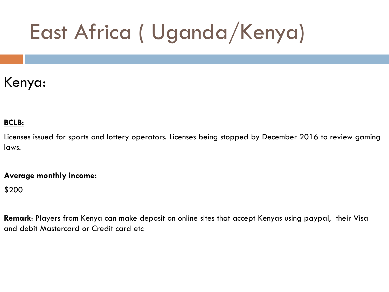## East Africa ( Uganda/Kenya)

### Kenya:

#### **BCLB:**

Licenses issued for sports and lottery operators. Licenses being stopped by December 2016 to review gaming laws.

#### **Average monthly income:**

\$200

**Remark**: Players from Kenya can make deposit on online sites that accept Kenyas using paypal, their Visa and debit Mastercard or Credit card etc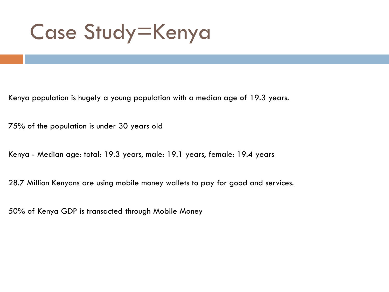Case Study=Kenya

Kenya population is hugely a young population with a median age of 19.3 years.

75% of the population is under 30 years old

Kenya - Median age: total: 19.3 years, male: 19.1 years, female: 19.4 years

28.7 Million Kenyans are using mobile money wallets to pay for good and services.

50% of Kenya GDP is transacted through Mobile Money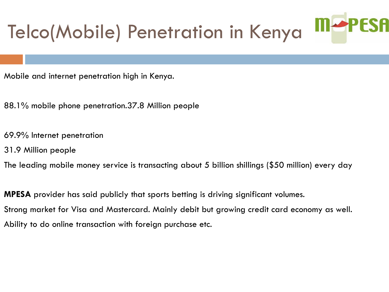### **M-PESA** Telco(Mobile) Penetration in Kenya

- Mobile and internet penetration high in Kenya.
- 88.1% mobile phone penetration.37.8 Million people
- 69.9% Internet penetration
- 31.9 Million people
- The leading mobile money service is transacting about 5 billion shillings (\$50 million) every day
- **MPESA** provider has said publicly that sports betting is driving significant volumes. Strong market for Visa and Mastercard. Mainly debit but growing credit card economy as well. Ability to do online transaction with foreign purchase etc.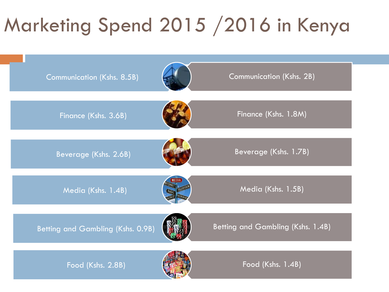### Marketing Spend 2015 /2016 in Kenya